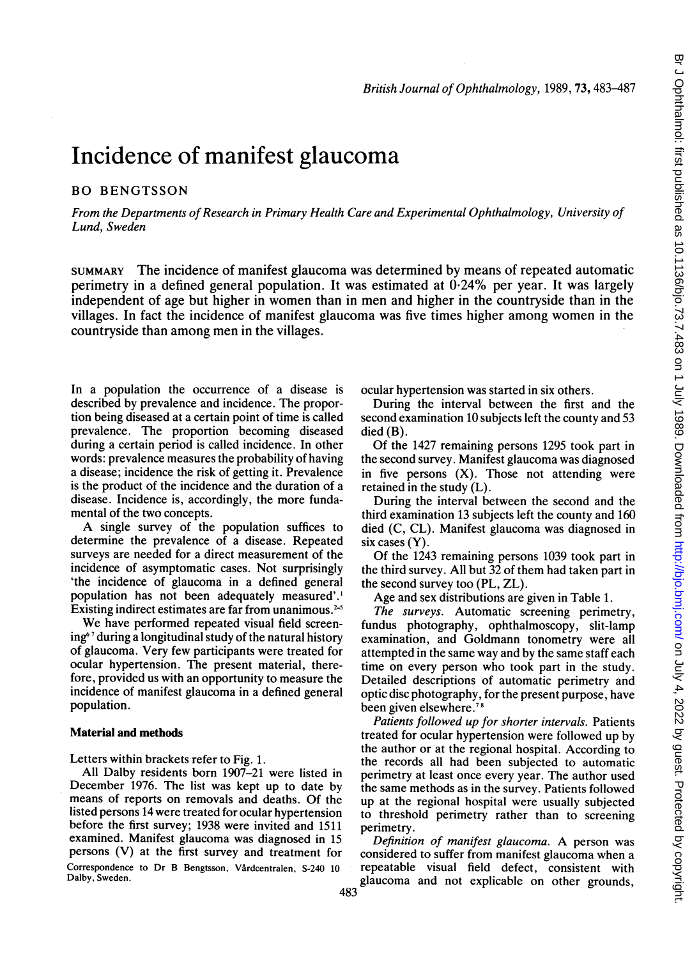# Incidence of manifest glaucoma

## BO BENGTSSON

From the Departments of Research in Primary Health Care and Experimental Ophthalmology, University of Lund, Sweden

SUMMARY The incidence of manifest glaucoma was determined by means of repeated automatic perimetry in a defined general population. It was estimated at 0-24% per year. It was largely independent of age but higher in women than in men and higher in the countryside than in the villages. In fact the incidence of manifest glaucoma was five times higher among women in the countryside than among men in the villages.

In a population the occurrence of a disease is described by prevalence and incidence. The proportion being diseased at a certain point of time is called prevalence. The proportion becoming diseased during a certain period is called incidence. In other words: prevalence measures the probability of having a disease; incidence the risk of getting it. Prevalence is the product of the incidence and the duration of a disease. Incidence is, accordingly, the more fundamental of the two concepts.

A single survey of the population suffices to determine the prevalence of a disease. Repeated surveys are needed for a direct measurement of the incidence of asymptomatic cases. Not surprisingly 'the incidence of glaucoma in a defined general population has not been adequately measured'.' Existing indirect estimates are far from unanimous.<sup>2-5</sup>

We have performed repeated visual field screening6'7 during a longitudinal study of the natural history of glaucoma. Very few participants were treated for ocular hypertension. The present material, therefore, provided us with an opportunity to measure the incidence of manifest glaucoma in a defined general population.

# Material and methods

Letters within brackets refer to Fig. 1.

All Dalby residents born 1907-21 were listed in December 1976. The list was kept up to date by means of reports on removals and deaths. Of the listed persons 14 were treated for ocular hypertension before the first survey; 1938 were invited and 1511 examined. Manifest glaucoma was diagnosed in 15 persons (V) at the first survey and treatment for Correspondence to Dr B Bengtsson, Vårdcentralen, S-240 10 Dalby, Sweden.

ocular hypertension was started in six others.

During the interval between the first and the second examination 10 subjects left the county and 53 died (B).

Of the 1427 remaining persons 1295 took part in the second survey. Manifest glaucoma was diagnosed in five persons (X). Those not attending were retained in the study (L).

During the interval between the second and the third examination 13 subjects left the county and 160 died (C, CL). Manifest glaucoma was diagnosed in six cases (Y).

Of the 1243 remaining persons 1039 took part in the third survey. All but 32 of them had taken part in the second survey too (PL, ZL).

Age and sex distributions are given in Table 1.

The surveys. Automatic screening perimetry, fundus photography, ophthalmoscopy, slit-lamp examination, and Goldmann tonometry were all attempted in the same way and by the same staff each time on every person who took part in the study. Detailed descriptions of automatic perimetry and optic disc photography, for the present purpose, have been given elsewhere.78

Patients followed up for shorter intervals. Patients treated for ocular hypertension were followed up by the author or at the regional hospital. According to the records all had been subjected to automatic perimetry at least once every year. The author used the same methods as in the survey. Patients followed up at the regional hospital were usually subjected to threshold perimetry rather than to screening perimetry.

Definition of manifest glaucoma. A person was considered to suffer from manifest glaucoma when a repeatable visual field defect, consistent with glaucoma and not explicable on other grounds,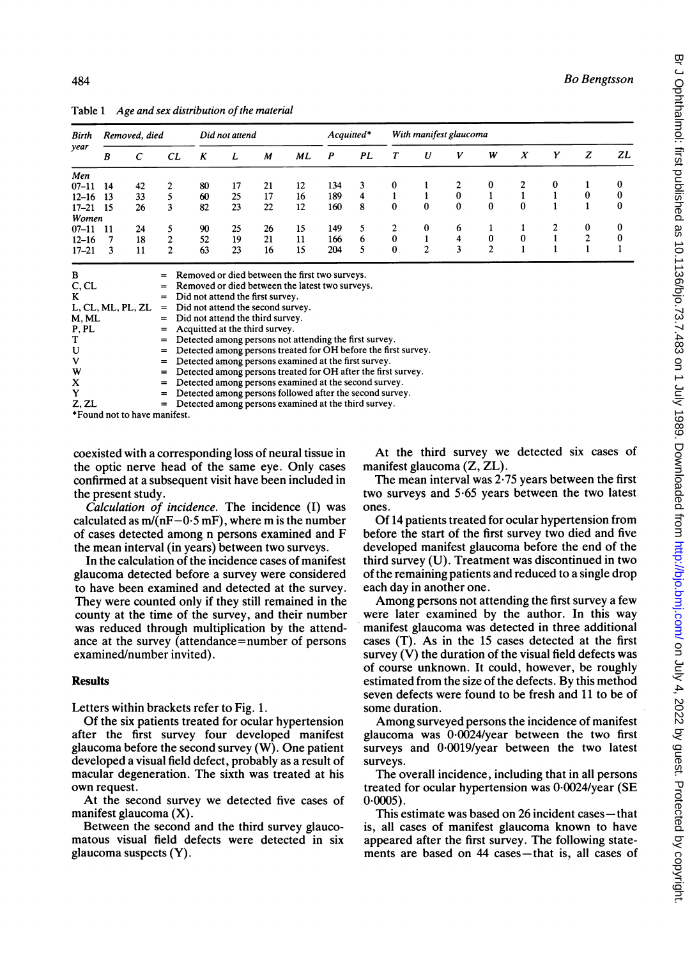| Birth<br>year     | Removed, died |            |                                                        | Did not attend                    |                                 |                                  |                                                | $Acquitted*$ |    | With manifest glaucoma |              |          |                |          |          |                |    |
|-------------------|---------------|------------|--------------------------------------------------------|-----------------------------------|---------------------------------|----------------------------------|------------------------------------------------|--------------|----|------------------------|--------------|----------|----------------|----------|----------|----------------|----|
|                   | B             | $\epsilon$ | CL                                                     | K                                 | L                               | M                                | ML                                             | P            | PL | Т                      | U            | v        | W              | X        | Y        | z              | ΖL |
| Men               |               |            |                                                        |                                   |                                 |                                  |                                                |              |    |                        |              |          |                |          |          |                |    |
| $07 - 11$         | 14            | 42         |                                                        | 80                                | 17                              | 21                               | 12                                             | 134          | 3  | 0                      |              | 2        | 0              |          | $\bf{0}$ |                | 0  |
| $12 - 16$         | 13            | 33         |                                                        | 60                                | 25                              | 17                               | 16                                             | 189          | 4  |                        |              | $\bf{0}$ |                |          |          | 0              | 0  |
| $17 - 21$         | -15           | 26         | 3                                                      | 82                                | 23                              | 22                               | 12                                             | 160          | 8  | $\mathbf{0}$           | $\Omega$     | $\bf{0}$ | $\bf{0}$       | 0        |          |                | 0  |
| Women             |               |            |                                                        |                                   |                                 |                                  |                                                |              |    |                        |              |          |                |          |          |                |    |
| $07 - 11$         | 11            | 24         |                                                        | 90                                | 25                              | 26                               | 15                                             | 149          | 5. | 2                      | 0            | 6        |                |          | 2        | 0              | 0  |
| $12 - 16$         |               | 18         | $\overline{c}$                                         | 52                                | 19                              | 21                               | 11                                             | 166          | 6  | $\bf{0}$               |              | 4        | $\bf{0}$       | $\bf{0}$ |          | $\overline{c}$ | 0  |
| $17 - 21$         | 3             | 11         | $\overline{c}$                                         | 63                                | 23                              | 16                               | 15                                             | 204          |    | $\bf{0}$               | $\mathbf{2}$ | 3        | $\overline{c}$ |          |          |                |    |
| в                 |               |            | $=$                                                    |                                   |                                 |                                  | Removed or died between the first two surveys. |              |    |                        |              |          |                |          |          |                |    |
| C, CL             |               |            | Removed or died between the latest two surveys.<br>$=$ |                                   |                                 |                                  |                                                |              |    |                        |              |          |                |          |          |                |    |
| K                 |               |            | $=$                                                    |                                   |                                 | Did not attend the first survey. |                                                |              |    |                        |              |          |                |          |          |                |    |
| L, CL, ML, PL, ZL |               |            | =                                                      | Did not attend the second survey. |                                 |                                  |                                                |              |    |                        |              |          |                |          |          |                |    |
| M MI              |               | -          |                                                        |                                   | Did not attend the third curvey |                                  |                                                |              |    |                        |              |          |                |          |          |                |    |

Table 1 Age and sex distribution of the material

| ╍                 | Reflioved of their between the first two surveys.                  |
|-------------------|--------------------------------------------------------------------|
| C, CL             | $=$ Removed or died between the latest two surveys.                |
| K                 | $=$ Did not attend the first survey.                               |
| L, CL, ML, PL, ZL | $=$ Did not attend the second survey.                              |
| M. ML             | $=$ Did not attend the third survey.                               |
| P, PL             | $=$ Acquitted at the third survey.                                 |
| т                 | $=$ Detected among persons not attending the first survey.         |
| U                 | $=$ Detected among persons treated for OH before the first survey. |
| v                 | $=$ Detected among persons examined at the first survey.           |
| w                 | $=$ Detected among persons treated for OH after the first survey.  |
| x                 | = Detected among persons examined at the second survey.            |
| Y                 | = Detected among persons followed after the second survey.         |
| Z. ZL             | $=$ Detected among persons examined at the third survey.           |
|                   |                                                                    |

\*Found not to have manifest.

coexisted with a corresponding loss of neural tissue in the optic nerve head of the same eye. Only cases confirmed at a subsequent visit have been included in the present study.

Calculation of incidence. The incidence (I) was calculated as  $m/(nF-0.5 mF)$ , where m is the number of cases detected among n persons examined and F the mean interval (in years) between two surveys.

In the calculation of the incidence cases of manifest glaucoma detected before a survey were considered to have been examined and detected at the survey. They were counted only if they still remained in the county at the time of the survey, and their number was reduced through multiplication by the attendance at the survey (attendance=number of persons examined/number invited).

#### **Results**

Letters within brackets refer to Fig. 1.

Of the six patients treated for ocular hypertension after the first survey four developed manifest glaucoma before the second survey (W). One patient developed a visual field defect, probably as a result of macular degeneration. The sixth was treated at his own request.

At the second survey we detected five cases of manifest glaucoma (X).

Between the second and the third survey glaucomatous visual field defects were detected in six glaucoma suspects (Y).

At the third survey we detected six cases of manifest glaucoma (Z, ZL).

The mean interval was 2-75 years between the first two surveys and 5-65 years between the two latest ones.

Of 14 patients treated for ocular hypertension from before the start of the first survey two died and five developed manifest glaucoma before the end of the third survey (U). Treatment was discontinued in two of the remaining patients and reduced to a single drop each day in another one.

Among persons not attending the first survey <sup>a</sup> few were later examined by the author. In this way manifest glaucoma was detected in three additional cases (T). As in the 15 cases detected at the first survey  $(V)$  the duration of the visual field defects was of course unknown. It could, however, be roughly estimated from the size of the defects. By this method seven defects were found to be fresh and 11 to be of some duration.

Among surveyed persons the incidence of manifest glaucoma was 0.0024/year between the two first surveys and 0.0019/year between the two latest surveys.

The overall incidence, including that in all persons treated for ocular hypertension was 0-0024/year (SE  $0.0005$ ).

This estimate was based on 26 incident cases—that is, all cases of manifest glaucoma known to have appeared after the first survey. The following statements are based on 44 cases-that is, all cases of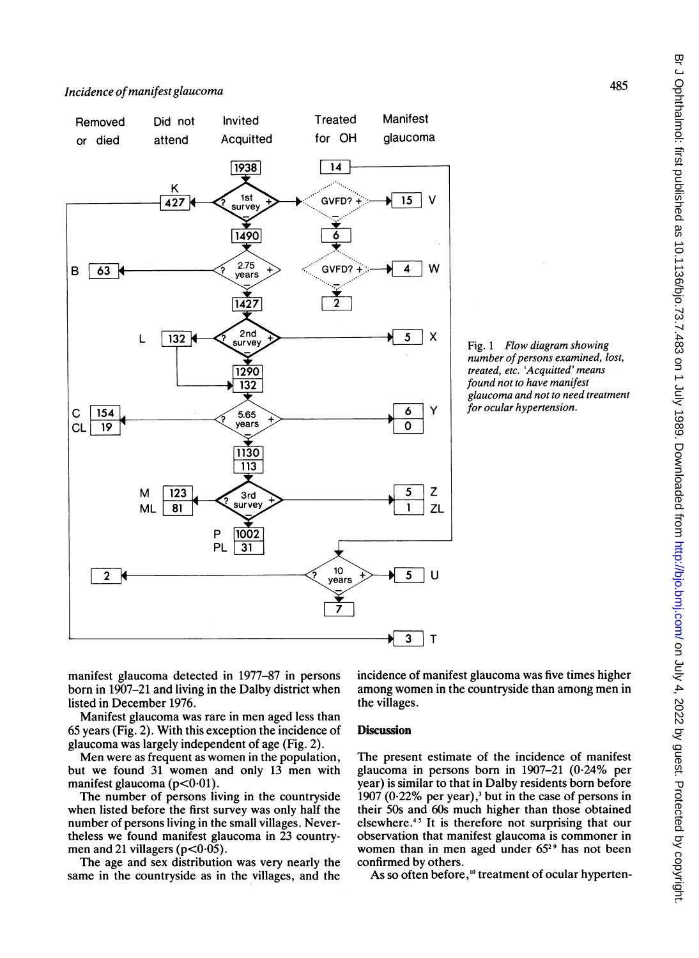

Fig. <sup>1</sup> Flow diagram showing number of persons examined, lost, treated, etc. 'Acquitted' means found not to have manifest glaucoma and not to need treatment for ocular hypertension.

manifest glaucoma detected in 1977-87 in persons born in 1907-21 and living in the Dalby district when listed in December 1976.

Manifest glaucoma was rare in men aged less than 65 years (Fig. 2). With this exception the incidence of glaucoma was largely independent of age (Fig. 2).

Men were as frequent as women in the population, but we found 31 women and only 13 men with manifest glaucoma ( $p < 0.01$ ).

The number of persons living in the countryside when listed before the first survey was only half the number of persons living in the small villages. Nevertheless we found manifest glaucoma in 23 countrymen and 21 villagers ( $p < 0.05$ ).

The age and sex distribution was very nearly the same in the countryside as in the villages, and the incidence of manifest glaucoma was five times higher among women in the countryside than among men in the villages.

## **Discussion**

The present estimate of the incidence of manifest glaucoma in persons born in 1907-21 (0-24% per year) is similar to that in Dalby residents born before 1907 (0 $-22\%$  per year),<sup>3</sup> but in the case of persons in their SOs and 60s much higher than those obtained elsewhere.45 It is therefore not surprising that our observation that manifest glaucoma is commoner in women than in men aged under 65<sup>29</sup> has not been confirmed by others.

As so often before,<sup>10</sup> treatment of ocular hyperten-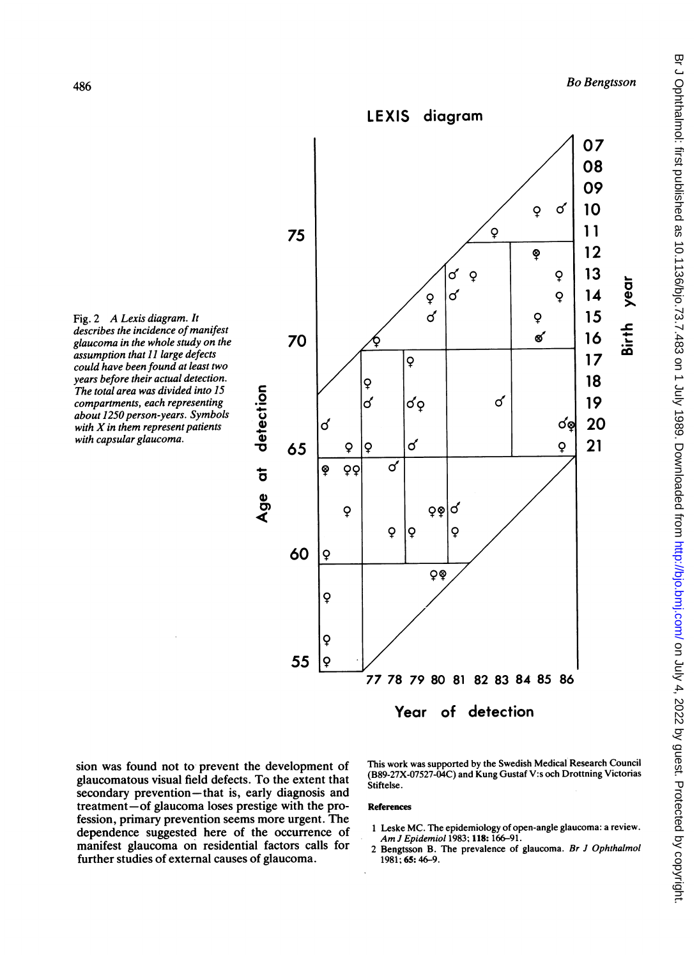្ត

co





sion was found not to prevent the development of glaucomatous visual field defects. To the extent that secondary prevention-that is, early diagnosis and treatment-of glaucoma loses prestige with the profession, primary prevention seems more urgent. The

dependence suggested here of the occurrence of manifest glaucoma on residential factors calls for further studies of external causes of glaucoma.

This work was supported by the Swedish Medical Research Council (B89-27X-07527-04C) and Kung Gustaf V:s och Drottning Victorias Stiftelse.

#### References

- <sup>1</sup> Leske MC. The epidemiology of open-angle glaucoma: a review. Am <sup>J</sup> Epidemiol 1983; 118: 166-91.
- 2 Bengtsson B. The prevalence of glaucoma. Br J Ophthalmol 1981; 65:46-9.